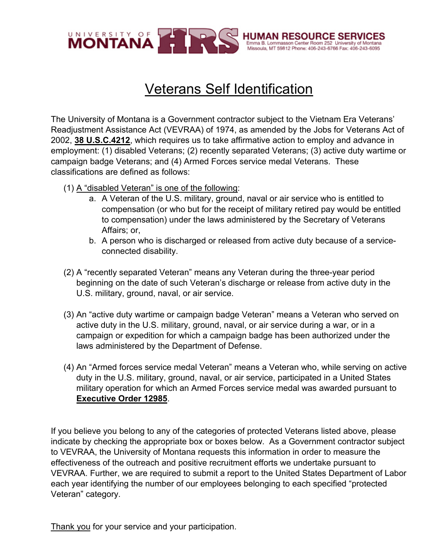

## Veterans Self Identification

The University of Montana is a Government contractor subject to the Vietnam Era Veterans' Readjustment Assistance Act (VEVRAA) of 1974, as amended by the Jobs for Veterans Act of 2002, **38 U.S.C.4212**, which requires us to take affirmative action to employ and advance in employment: (1) disabled Veterans; (2) recently separated Veterans; (3) active duty wartime or campaign badge Veterans; and (4) Armed Forces service medal Veterans. These classifications are defined as follows:

- (1) A "disabled Veteran" is one of the following:
	- a. A Veteran of the U.S. military, ground, naval or air service who is entitled to compensation (or who but for the receipt of military retired pay would be entitled to compensation) under the laws administered by the Secretary of Veterans Affairs; or,
	- b. A person who is discharged or released from active duty because of a serviceconnected disability.
- (2) A "recently separated Veteran" means any Veteran during the three-year period beginning on the date of such Veteran's discharge or release from active duty in the U.S. military, ground, naval, or air service.
- (3) An "active duty wartime or campaign badge Veteran" means a Veteran who served on active duty in the U.S. military, ground, naval, or air service during a war, or in a campaign or expedition for which a campaign badge has been authorized under the laws administered by the Department of Defense.
- (4) An "Armed forces service medal Veteran" means a Veteran who, while serving on active duty in the U.S. military, ground, naval, or air service, participated in a United States military operation for which an Armed Forces service medal was awarded pursuant to **Executive Order 12985**.

If you believe you belong to any of the categories of protected Veterans listed above, please indicate by checking the appropriate box or boxes below. As a Government contractor subject to VEVRAA, the University of Montana requests this information in order to measure the effectiveness of the outreach and positive recruitment efforts we undertake pursuant to VEVRAA. Further, we are required to submit a report to the United States Department of Labor each year identifying the number of our employees belonging to each specified "protected Veteran" category.

Thank you for your service and your participation.